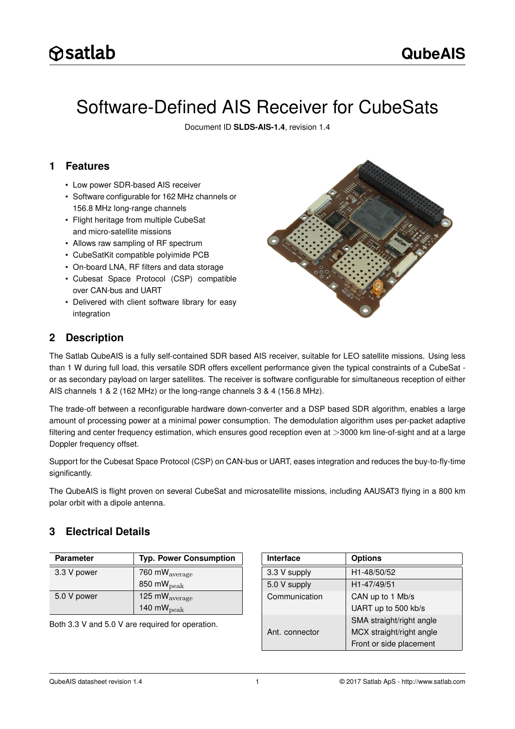# Software-Defined AIS Receiver for CubeSats

Document ID **SLDS-AIS-1.4**, revision 1.4

### <span id="page-0-0"></span>**1 Features**

- Low power SDR-based AIS receiver
- Software configurable for 162 MHz channels or 156.8 MHz long-range channels
- Flight heritage from multiple CubeSat and micro-satellite missions
- Allows raw sampling of RF spectrum
- CubeSatKit compatible polyimide PCB
- On-board LNA, RF filters and data storage
- Cubesat Space Protocol (CSP) compatible over CAN-bus and UART
- Delivered with client software library for easy integration



### <span id="page-0-1"></span>**2 Description**

The Satlab QubeAIS is a fully self-contained SDR based AIS receiver, suitable for LEO satellite missions. Using less than 1 W during full load, this versatile SDR offers excellent performance given the typical constraints of a CubeSat or as secondary payload on larger satellites. The receiver is software configurable for simultaneous reception of either AIS channels 1 & 2 (162 MHz) or the long-range channels 3 & 4 (156.8 MHz).

The trade-off between a reconfigurable hardware down-converter and a DSP based SDR algorithm, enables a large amount of processing power at a minimal power consumption. The demodulation algorithm uses per-packet adaptive filtering and center frequency estimation, which ensures good reception even at >3000 km line-of-sight and at a large Doppler frequency offset.

Support for the Cubesat Space Protocol (CSP) on CAN-bus or UART, eases integration and reduces the buy-to-fly-time significantly.

The QubeAIS is flight proven on several CubeSat and microsatellite missions, including AAUSAT3 flying in a 800 km polar orbit with a dipole antenna.

### <span id="page-0-2"></span>**3 Electrical Details**

| Parameter   | <b>Typ. Power Consumption</b> |
|-------------|-------------------------------|
| 3.3 V power | 760 m $W_{\text{average}}$    |
|             | 850 m $W_{\rm peak}$          |
| 5.0 V power | 125 m $W_{\text{average}}$    |
|             | 140 m $W_{\rm peak}$          |

Both 3.3 V and 5.0 V are required for operation.

| <b>Interface</b> | <b>Options</b>           |  |
|------------------|--------------------------|--|
| 3.3 V supply     | H <sub>1</sub> -48/50/52 |  |
| 5.0 V supply     | H1-47/49/51              |  |
| Communication    | CAN up to 1 Mb/s         |  |
|                  | UART up to 500 kb/s      |  |
|                  | SMA straight/right angle |  |
| Ant. connector   | MCX straight/right angle |  |
|                  | Front or side placement  |  |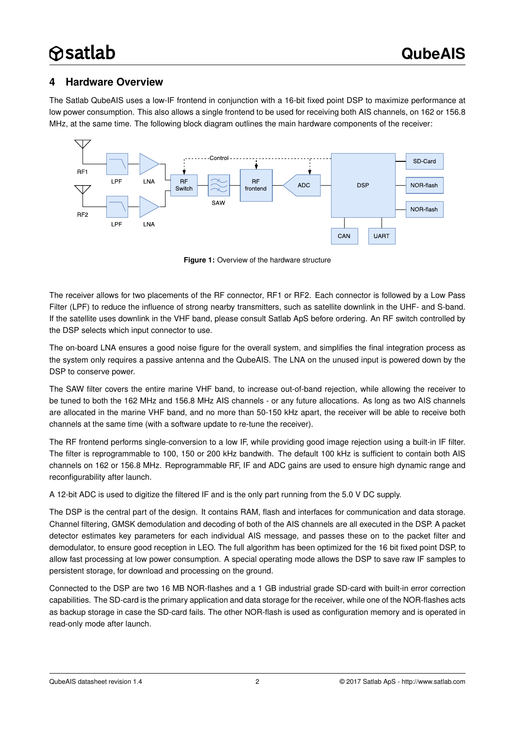### <span id="page-1-1"></span>**4 Hardware Overview**

The Satlab QubeAIS uses a low-IF frontend in conjunction with a 16-bit fixed point DSP to maximize performance at low power consumption. This also allows a single frontend to be used for receiving both AIS channels, on 162 or 156.8 MHz, at the same time. The following block diagram outlines the main hardware components of the receiver:



<span id="page-1-0"></span>**Figure 1:** Overview of the hardware structure

The receiver allows for two placements of the RF connector, RF1 or RF2. Each connector is followed by a Low Pass Filter (LPF) to reduce the influence of strong nearby transmitters, such as satellite downlink in the UHF- and S-band. If the satellite uses downlink in the VHF band, please consult Satlab ApS before ordering. An RF switch controlled by the DSP selects which input connector to use.

The on-board LNA ensures a good noise figure for the overall system, and simplifies the final integration process as the system only requires a passive antenna and the QubeAIS. The LNA on the unused input is powered down by the DSP to conserve power.

The SAW filter covers the entire marine VHF band, to increase out-of-band rejection, while allowing the receiver to be tuned to both the 162 MHz and 156.8 MHz AIS channels - or any future allocations. As long as two AIS channels are allocated in the marine VHF band, and no more than 50-150 kHz apart, the receiver will be able to receive both channels at the same time (with a software update to re-tune the receiver).

The RF frontend performs single-conversion to a low IF, while providing good image rejection using a built-in IF filter. The filter is reprogrammable to 100, 150 or 200 kHz bandwith. The default 100 kHz is sufficient to contain both AIS channels on 162 or 156.8 MHz. Reprogrammable RF, IF and ADC gains are used to ensure high dynamic range and reconfigurability after launch.

A 12-bit ADC is used to digitize the filtered IF and is the only part running from the 5.0 V DC supply.

The DSP is the central part of the design. It contains RAM, flash and interfaces for communication and data storage. Channel filtering, GMSK demodulation and decoding of both of the AIS channels are all executed in the DSP. A packet detector estimates key parameters for each individual AIS message, and passes these on to the packet filter and demodulator, to ensure good reception in LEO. The full algorithm has been optimized for the 16 bit fixed point DSP, to allow fast processing at low power consumption. A special operating mode allows the DSP to save raw IF samples to persistent storage, for download and processing on the ground.

Connected to the DSP are two 16 MB NOR-flashes and a 1 GB industrial grade SD-card with built-in error correction capabilities. The SD-card is the primary application and data storage for the receiver, while one of the NOR-flashes acts as backup storage in case the SD-card fails. The other NOR-flash is used as configuration memory and is operated in read-only mode after launch.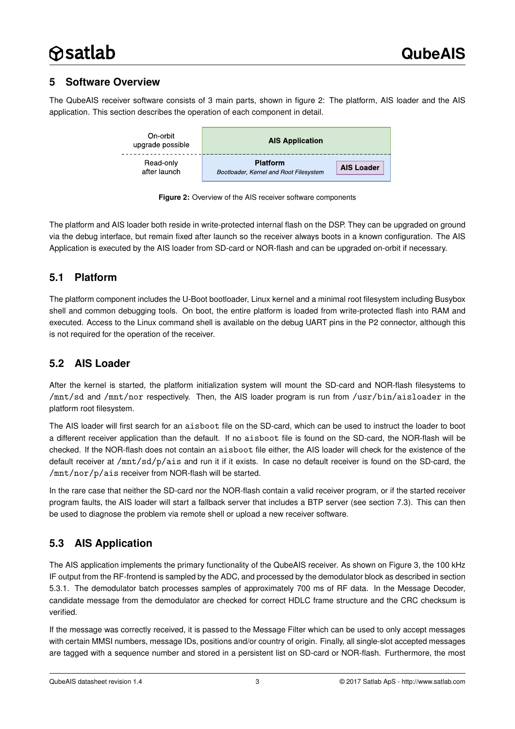# <span id="page-2-1"></span>**5 Software Overview**

The QubeAIS receiver software consists of 3 main parts, shown in figure [2:](#page-2-0) The platform, AIS loader and the AIS application. This section describes the operation of each component in detail.



<span id="page-2-0"></span>**Figure 2:** Overview of the AIS receiver software components

The platform and AIS loader both reside in write-protected internal flash on the DSP. They can be upgraded on ground via the debug interface, but remain fixed after launch so the receiver always boots in a known configuration. The AIS Application is executed by the AIS loader from SD-card or NOR-flash and can be upgraded on-orbit if necessary.

### <span id="page-2-2"></span>**5.1 Platform**

The platform component includes the U-Boot bootloader, Linux kernel and a minimal root filesystem including Busybox shell and common debugging tools. On boot, the entire platform is loaded from write-protected flash into RAM and executed. Access to the Linux command shell is available on the debug UART pins in the P2 connector, although this is not required for the operation of the receiver.

# <span id="page-2-3"></span>**5.2 AIS Loader**

After the kernel is started, the platform initialization system will mount the SD-card and NOR-flash filesystems to /mnt/sd and /mnt/nor respectively. Then, the AIS loader program is run from /usr/bin/aisloader in the platform root filesystem.

The AIS loader will first search for an aisboot file on the SD-card, which can be used to instruct the loader to boot a different receiver application than the default. If no aisboot file is found on the SD-card, the NOR-flash will be checked. If the NOR-flash does not contain an aisboot file either, the AIS loader will check for the existence of the default receiver at /mnt/sd/p/ais and run it if it exists. In case no default receiver is found on the SD-card, the /mnt/nor/p/ais receiver from NOR-flash will be started.

In the rare case that neither the SD-card nor the NOR-flash contain a valid receiver program, or if the started receiver program faults, the AIS loader will start a fallback server that includes a BTP server (see section [7.3\)](#page-17-0). This can then be used to diagnose the problem via remote shell or upload a new receiver software.

# <span id="page-2-4"></span>**5.3 AIS Application**

The AIS application implements the primary functionality of the QubeAIS receiver. As shown on Figure [3,](#page-3-0) the 100 kHz IF output from the RF-frontend is sampled by the ADC, and processed by the demodulator block as described in section [5.3.1.](#page-3-1) The demodulator batch processes samples of approximately 700 ms of RF data. In the Message Decoder, candidate message from the demodulator are checked for correct HDLC frame structure and the CRC checksum is verified.

If the message was correctly received, it is passed to the Message Filter which can be used to only accept messages with certain MMSI numbers, message IDs, positions and/or country of origin. Finally, all single-slot accepted messages are tagged with a sequence number and stored in a persistent list on SD-card or NOR-flash. Furthermore, the most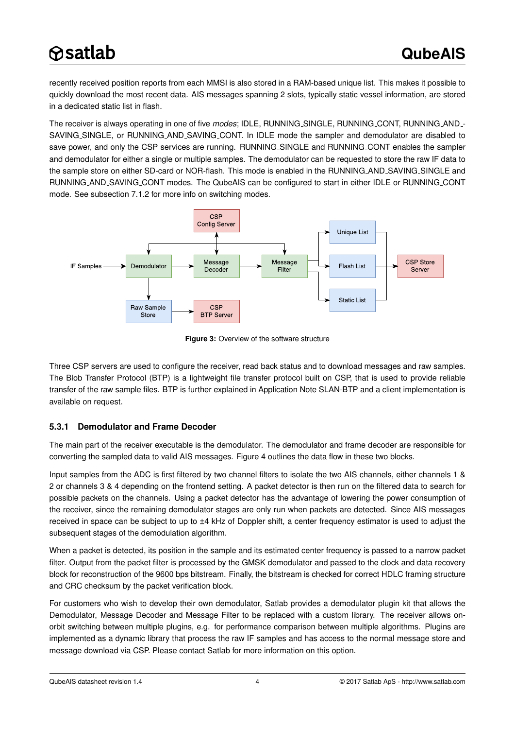recently received position reports from each MMSI is also stored in a RAM-based unique list. This makes it possible to quickly download the most recent data. AIS messages spanning 2 slots, typically static vessel information, are stored in a dedicated static list in flash.

The receiver is always operating in one of five *modes*; IDLE, RUNNING SINGLE, RUNNING CONT, RUNNING AND - SAVING SINGLE, or RUNNING AND SAVING CONT. In IDLE mode the sampler and demodulator are disabled to save power, and only the CSP services are running. RUNNING\_SINGLE and RUNNING\_CONT enables the sampler and demodulator for either a single or multiple samples. The demodulator can be requested to store the raw IF data to the sample store on either SD-card or NOR-flash. This mode is enabled in the RUNNING AND SAVING SINGLE and RUNNING AND SAVING CONT modes. The QubeAIS can be configured to start in either IDLE or RUNNING CONT mode. See subsection [7.1.2](#page-10-0) for more info on switching modes.



<span id="page-3-0"></span>**Figure 3:** Overview of the software structure

Three CSP servers are used to configure the receiver, read back status and to download messages and raw samples. The Blob Transfer Protocol (BTP) is a lightweight file transfer protocol built on CSP, that is used to provide reliable transfer of the raw sample files. BTP is further explained in Application Note SLAN-BTP and a client implementation is available on request.

#### <span id="page-3-1"></span>**5.3.1 Demodulator and Frame Decoder**

The main part of the receiver executable is the demodulator. The demodulator and frame decoder are responsible for converting the sampled data to valid AIS messages. Figure [4](#page-4-0) outlines the data flow in these two blocks.

Input samples from the ADC is first filtered by two channel filters to isolate the two AIS channels, either channels 1 & 2 or channels 3 & 4 depending on the frontend setting. A packet detector is then run on the filtered data to search for possible packets on the channels. Using a packet detector has the advantage of lowering the power consumption of the receiver, since the remaining demodulator stages are only run when packets are detected. Since AIS messages received in space can be subject to up to  $\pm 4$  kHz of Doppler shift, a center frequency estimator is used to adjust the subsequent stages of the demodulation algorithm.

When a packet is detected, its position in the sample and its estimated center frequency is passed to a narrow packet filter. Output from the packet filter is processed by the GMSK demodulator and passed to the clock and data recovery block for reconstruction of the 9600 bps bitstream. Finally, the bitstream is checked for correct HDLC framing structure and CRC checksum by the packet verification block.

For customers who wish to develop their own demodulator, Satlab provides a demodulator plugin kit that allows the Demodulator, Message Decoder and Message Filter to be replaced with a custom library. The receiver allows onorbit switching between multiple plugins, e.g. for performance comparison between multiple algorithms. Plugins are implemented as a dynamic library that process the raw IF samples and has access to the normal message store and message download via CSP. Please contact Satlab for more information on this option.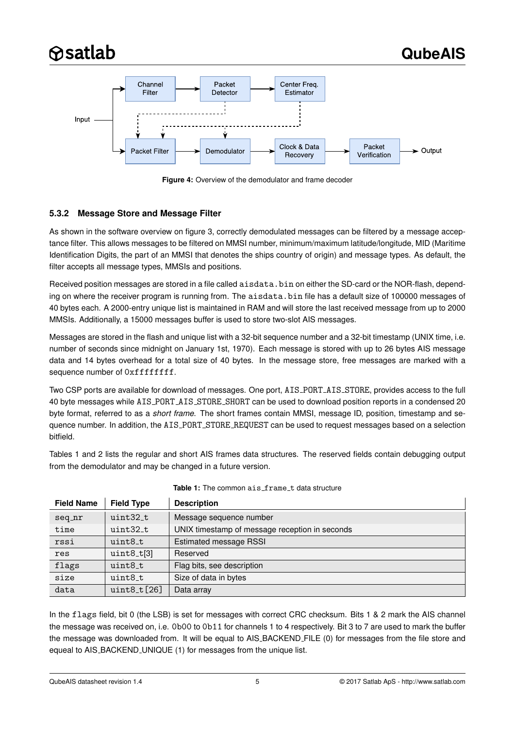

<span id="page-4-0"></span>**Figure 4:** Overview of the demodulator and frame decoder

#### <span id="page-4-2"></span>**5.3.2 Message Store and Message Filter**

As shown in the software overview on figure [3,](#page-3-0) correctly demodulated messages can be filtered by a message acceptance filter. This allows messages to be filtered on MMSI number, minimum/maximum latitude/longitude, MID (Maritime Identification Digits, the part of an MMSI that denotes the ships country of origin) and message types. As default, the filter accepts all message types, MMSIs and positions.

Received position messages are stored in a file called aisdata.bin on either the SD-card or the NOR-flash, depending on where the receiver program is running from. The aisdata.bin file has a default size of 100000 messages of 40 bytes each. A 2000-entry unique list is maintained in RAM and will store the last received message from up to 2000 MMSIs. Additionally, a 15000 messages buffer is used to store two-slot AIS messages.

Messages are stored in the flash and unique list with a 32-bit sequence number and a 32-bit timestamp (UNIX time, i.e. number of seconds since midnight on January 1st, 1970). Each message is stored with up to 26 bytes AIS message data and 14 bytes overhead for a total size of 40 bytes. In the message store, free messages are marked with a sequence number of  $0xffffffff.$ 

Two CSP ports are available for download of messages. One port, AIS PORT AIS STORE, provides access to the full 40 byte messages while AIS PORT AIS STORE SHORT can be used to download position reports in a condensed 20 byte format, referred to as a *short frame*. The short frames contain MMSI, message ID, position, timestamp and sequence number. In addition, the AIS PORT STORE REQUEST can be used to request messages based on a selection bitfield.

Tables [1](#page-4-1) and [2](#page-5-0) lists the regular and short AIS frames data structures. The reserved fields contain debugging output from the demodulator and may be changed in a future version.

<span id="page-4-1"></span>

| <b>Field Name</b> | <b>Field Type</b> | <b>Description</b>                             |  |
|-------------------|-------------------|------------------------------------------------|--|
| seq_nr            | $uint32_t$        | Message sequence number                        |  |
| time              | $uint32_t$        | UNIX timestamp of message reception in seconds |  |
| rssi              | uint8 t           | <b>Estimated message RSSI</b>                  |  |
| res               | $uint8_t[3]$      | Reserved                                       |  |
| flags             | uint8_t           | Flag bits, see description                     |  |
| size              | $uint8_t$         | Size of data in bytes                          |  |
| data              | $uint8_t[26]$     | Data array                                     |  |

#### Table 1: The common ais\_frame\_t data structure

In the flags field, bit 0 (the LSB) is set for messages with correct CRC checksum. Bits 1 & 2 mark the AIS channel the message was received on, i.e. 0b00 to 0b11 for channels 1 to 4 respectively. Bit 3 to 7 are used to mark the buffer the message was downloaded from. It will be equal to AIS BACKEND FILE (0) for messages from the file store and equeal to AIS BACKEND UNIQUE (1) for messages from the unique list.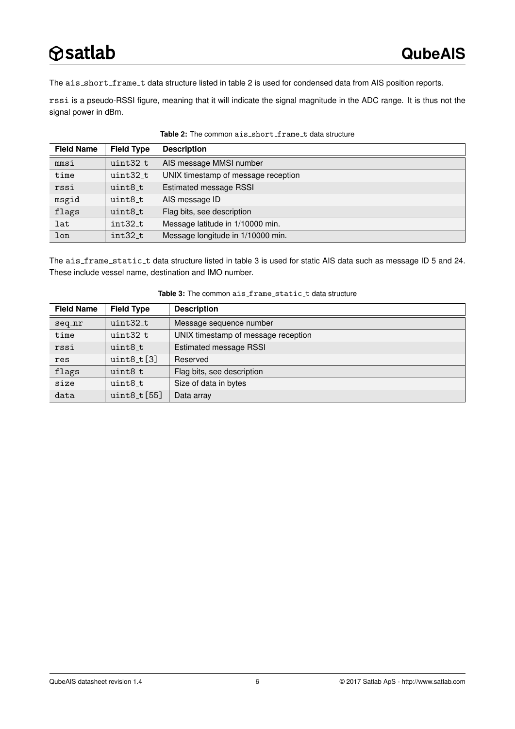The ais\_short\_frame\_t data structure listed in table [2](#page-5-0) is used for condensed data from AIS position reports.

rssi is a pseudo-RSSI figure, meaning that it will indicate the signal magnitude in the ADC range. It is thus not the signal power in dBm.

<span id="page-5-0"></span>

| <b>Field Name</b> | <b>Field Type</b> | <b>Description</b>                  |
|-------------------|-------------------|-------------------------------------|
| mmsi              | uint32_t          | AIS message MMSI number             |
| time              | uint32_t          | UNIX timestamp of message reception |
| rssi              | uint8_t           | <b>Estimated message RSSI</b>       |
| msgid             | uint8_t           | AIS message ID                      |
| flags             | uint8_t           | Flag bits, see description          |
| lat               | $int32_t$         | Message latitude in 1/10000 min.    |
| lon               | int32 t           | Message longitude in 1/10000 min.   |

Table 2: The common ais\_short\_frame\_t data structure

The ais frame static t data structure listed in table [3](#page-5-1) is used for static AIS data such as message ID 5 and 24. These include vessel name, destination and IMO number.

<span id="page-5-1"></span>

| <b>Field Name</b> | <b>Field Type</b> | <b>Description</b>                  |
|-------------------|-------------------|-------------------------------------|
| seq_nr            | uint32 t          | Message sequence number             |
| time              | uint32 t          | UNIX timestamp of message reception |
| rssi              | $uint8_t$         | Estimated message RSSI              |
| res               | $uint8_t[3]$      | Reserved                            |
| flags             | uint8 t           | Flag bits, see description          |
| size              | uint8 t           | Size of data in bytes               |
| data              | $uint8_t[55]$     | Data array                          |

Table 3: The common ais\_frame\_static\_t data structure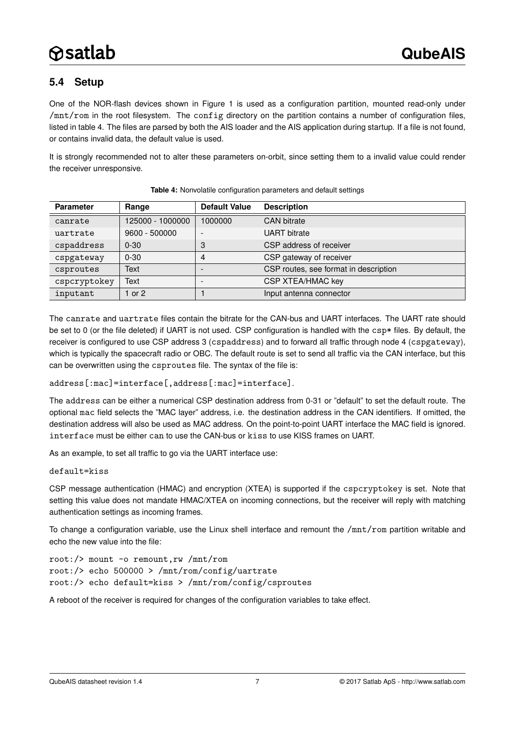# <span id="page-6-1"></span>**5.4 Setup**

One of the NOR-flash devices shown in Figure [1](#page-1-0) is used as a configuration partition, mounted read-only under /mnt/rom in the root filesystem. The config directory on the partition contains a number of configuration files, listed in table [4.](#page-6-0) The files are parsed by both the AIS loader and the AIS application during startup. If a file is not found, or contains invalid data, the default value is used.

It is strongly recommended not to alter these parameters on-orbit, since setting them to a invalid value could render the receiver unresponsive.

<span id="page-6-0"></span>

| <b>Parameter</b> | Range            | <b>Default Value</b>     | <b>Description</b>                    |
|------------------|------------------|--------------------------|---------------------------------------|
| canrate          | 125000 - 1000000 | 1000000                  | <b>CAN</b> bitrate                    |
| uartrate         | 9600 - 500000    | $\overline{\phantom{0}}$ | <b>UART</b> bitrate                   |
| cspaddress       | $0 - 30$         | 3                        | CSP address of receiver               |
| cspgateway       | $0 - 30$         | 4                        | CSP gateway of receiver               |
| csproutes        | Text             | -                        | CSP routes, see format in description |
| cspcryptokey     | Text             | -                        | CSP XTEA/HMAC key                     |
| inputant         | 1 or $2$         |                          | Input antenna connector               |

#### **Table 4:** Nonvolatile configuration parameters and default settings

The canrate and uartrate files contain the bitrate for the CAN-bus and UART interfaces. The UART rate should be set to 0 (or the file deleted) if UART is not used. CSP configuration is handled with the  $c$ sp $*$  files. By default, the receiver is configured to use CSP address 3 (cspaddress) and to forward all traffic through node 4 (cspgateway), which is typically the spacecraft radio or OBC. The default route is set to send all traffic via the CAN interface, but this can be overwritten using the csproutes file. The syntax of the file is:

address[:mac]=interface[,address[:mac]=interface].

The address can be either a numerical CSP destination address from 0-31 or "default" to set the default route. The optional mac field selects the "MAC layer" address, i.e. the destination address in the CAN identifiers. If omitted, the destination address will also be used as MAC address. On the point-to-point UART interface the MAC field is ignored. interface must be either can to use the CAN-bus or kiss to use KISS frames on UART.

As an example, to set all traffic to go via the UART interface use:

default=kiss

CSP message authentication (HMAC) and encryption (XTEA) is supported if the cspcryptokey is set. Note that setting this value does not mandate HMAC/XTEA on incoming connections, but the receiver will reply with matching authentication settings as incoming frames.

To change a configuration variable, use the Linux shell interface and remount the /mnt/rom partition writable and echo the new value into the file:

```
root:/> mount -o remount,rw /mnt/rom
root:/> echo 500000 > /mnt/rom/config/uartrate
root:/> echo default=kiss > /mnt/rom/config/csproutes
```
A reboot of the receiver is required for changes of the configuration variables to take effect.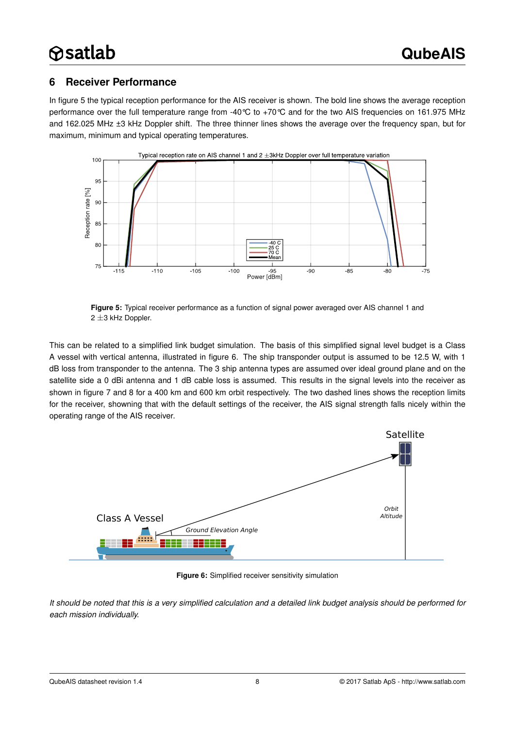### <span id="page-7-2"></span>**6 Receiver Performance**

In figure [5](#page-7-0) the typical reception performance for the AIS receiver is shown. The bold line shows the average reception performance over the full temperature range from -40°C to +70°C and for the two AIS frequencies on 161.975 MHz and 162.025 MHz ±3 kHz Doppler shift. The three thinner lines shows the average over the frequency span, but for maximum, minimum and typical operating temperatures.



<span id="page-7-0"></span>**Figure 5:** Typical receiver performance as a function of signal power averaged over AIS channel 1 and 2 ±3 kHz Doppler.

This can be related to a simplified link budget simulation. The basis of this simplified signal level budget is a Class A vessel with vertical antenna, illustrated in figure [6.](#page-7-1) The ship transponder output is assumed to be 12.5 W, with 1 dB loss from transponder to the antenna. The 3 ship antenna types are assumed over ideal ground plane and on the satellite side a 0 dBi antenna and 1 dB cable loss is assumed. This results in the signal levels into the receiver as shown in figure [7](#page-8-0) and [8](#page-8-1) for a 400 km and 600 km orbit respectively. The two dashed lines shows the reception limits for the receiver, showning that with the default settings of the receiver, the AIS signal strength falls nicely within the operating range of the AIS receiver.



<span id="page-7-1"></span>**Figure 6:** Simplified receiver sensitivity simulation

*It should be noted that this is a very simplified calculation and a detailed link budget analysis should be performed for each mission individually.*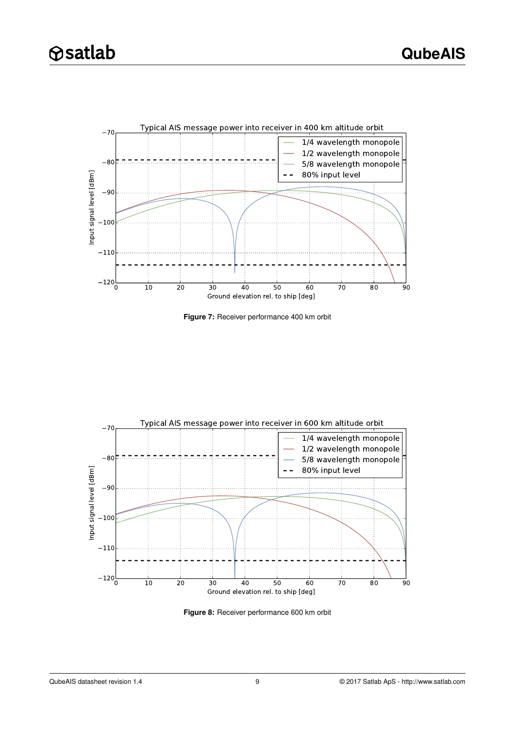

<span id="page-8-0"></span>**Figure 7:** Receiver performance 400 km orbit



<span id="page-8-1"></span>**Figure 8:** Receiver performance 600 km orbit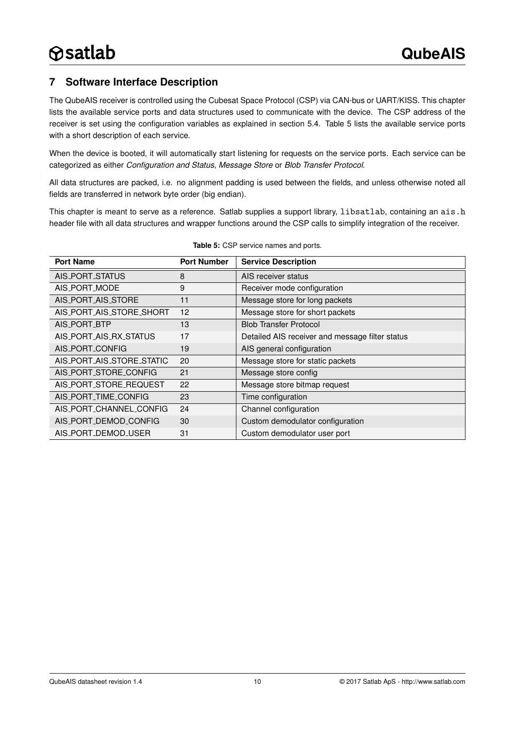### <span id="page-9-1"></span>**7 Software Interface Description**

The QubeAIS receiver is controlled using the Cubesat Space Protocol (CSP) via CAN-bus or UART/KISS. This chapter lists the available service ports and data structures used to communicate with the device. The CSP address of the receiver is set using the configuration variables as explained in section [5.4.](#page-6-1) Table [5](#page-9-0) lists the available service ports with a short description of each service.

When the device is booted, it will automatically start listening for requests on the service ports. Each service can be categorized as either *Configuration and Status*, *Message Store* or *Blob Transfer Protocol*.

All data structures are packed, i.e. no alignment padding is used between the fields, and unless otherwise noted all fields are transferred in network byte order (big endian).

This chapter is meant to serve as a reference. Satlab supplies a support library, libsatlab, containing an ais.h header file with all data structures and wrapper functions around the CSP calls to simplify integration of the receiver.

<span id="page-9-0"></span>

| <b>Port Name</b>          | <b>Port Number</b> | <b>Service Description</b>                      |
|---------------------------|--------------------|-------------------------------------------------|
| AIS_PORT_STATUS           | 8                  | AIS receiver status                             |
| AIS_PORT_MODE             | 9                  | Receiver mode configuration                     |
| AIS_PORT_AIS_STORE        | 11                 | Message store for long packets                  |
| AIS_PORT_AIS_STORE_SHORT  | 12                 | Message store for short packets                 |
| AIS_PORT_BTP              | 13                 | <b>Blob Transfer Protocol</b>                   |
| AIS_PORT_AIS_RX_STATUS    | 17                 | Detailed AIS receiver and message filter status |
| AIS_PORT_CONFIG           | 19                 | AIS general configuration                       |
| AIS_PORT_AIS_STORE_STATIC | 20                 | Message store for static packets                |
| AIS_PORT_STORE_CONFIG     | 21                 | Message store config                            |
| AIS_PORT_STORE_REQUEST    | 22                 | Message store bitmap request                    |
| AIS_PORT_TIME_CONFIG      | 23                 | Time configuration                              |
| AIS_PORT_CHANNEL_CONFIG   | 24                 | Channel configuration                           |
| AIS_PORT_DEMOD_CONFIG     | 30                 | Custom demodulator configuration                |
| AIS_PORT_DEMOD_USER       | 31                 | Custom demodulator user port                    |

#### **Table 5:** CSP service names and ports.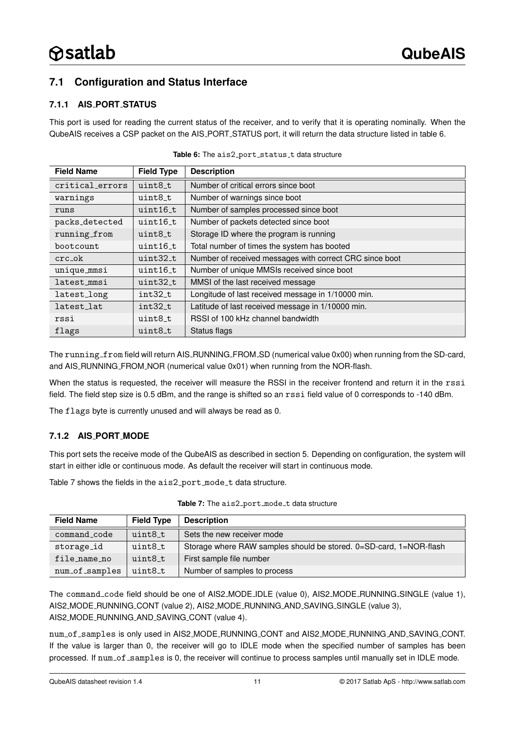# <span id="page-10-3"></span>**7.1 Configuration and Status Interface**

#### <span id="page-10-4"></span>**7.1.1 AIS PORT STATUS**

This port is used for reading the current status of the receiver, and to verify that it is operating nominally. When the QubeAIS receives a CSP packet on the AIS PORT STATUS port, it will return the data structure listed in table [6.](#page-10-1)

<span id="page-10-1"></span>

| <b>Field Name</b> | <b>Field Type</b> | <b>Description</b>                                      |  |
|-------------------|-------------------|---------------------------------------------------------|--|
| critical errors   | uint8_t           | Number of critical errors since boot                    |  |
| warnings          | uint8 t           | Number of warnings since boot                           |  |
| runs              | uint16 t          | Number of samples processed since boot                  |  |
| packs_detected    | $uint16_t$        | Number of packets detected since boot                   |  |
| running_from      | uint8_t           | Storage ID where the program is running                 |  |
| boot count.       | $uint16_t$        | Total number of times the system has booted             |  |
| crc ok            | uint32 t          | Number of received messages with correct CRC since boot |  |
| unique_mmsi       | uint16 t          | Number of unique MMSIs received since boot              |  |
| latest_mmsi       | $uint32_t$        | MMSI of the last received message                       |  |
| latest_long       | $int32_t$         | Longitude of last received message in 1/10000 min.      |  |
| latest lat        | int32 t           | Latitude of last received message in 1/10000 min.       |  |
| rssi              | uint8 t           | RSSI of 100 kHz channel bandwidth                       |  |
| flags             | uint8_t           | Status flags                                            |  |

The running from field will return AIS\_RUNNING\_FROM\_SD (numerical value 0x00) when running from the SD-card, and AIS\_RUNNING\_FROM\_NOR (numerical value 0x01) when running from the NOR-flash.

When the status is requested, the receiver will measure the RSSI in the receiver frontend and return it in the rssi field. The field step size is 0.5 dBm, and the range is shifted so an rssi field value of 0 corresponds to -140 dBm.

The flags byte is currently unused and will always be read as 0.

#### <span id="page-10-0"></span>**7.1.2 AIS PORT MODE**

This port sets the receive mode of the QubeAIS as described in section [5.](#page-2-1) Depending on configuration, the system will start in either idle or continuous mode. As default the receiver will start in continuous mode.

Table [7](#page-10-2) shows the fields in the  $a$ is2\_port\_mode\_t data structure.

<span id="page-10-2"></span>

| <b>Field Name</b> | <b>Field Type</b> | <b>Description</b>                                                 |  |
|-------------------|-------------------|--------------------------------------------------------------------|--|
| command_code      | uint8 t           | Sets the new receiver mode                                         |  |
| storage_id        | uint8_t           | Storage where RAW samples should be stored. 0=SD-card, 1=NOR-flash |  |
| file name no      | uint8_t           | First sample file number                                           |  |
| num_of_samples    | uint8 t           | Number of samples to process                                       |  |

Table 7: The ais2\_port\_mode\_t data structure

The command code field should be one of AIS2 MODE IDLE (value 0), AIS2 MODE RUNNING SINGLE (value 1), AIS2 MODE RUNNING CONT (value 2), AIS2 MODE RUNNING AND SAVING SINGLE (value 3), AIS2 MODE RUNNING AND SAVING CONT (value 4).

num of samples is only used in AIS2 MODE RUNNING CONT and AIS2 MODE RUNNING AND SAVING CONT. If the value is larger than 0, the receiver will go to IDLE mode when the specified number of samples has been processed. If num\_of\_samples is 0, the receiver will continue to process samples until manually set in IDLE mode.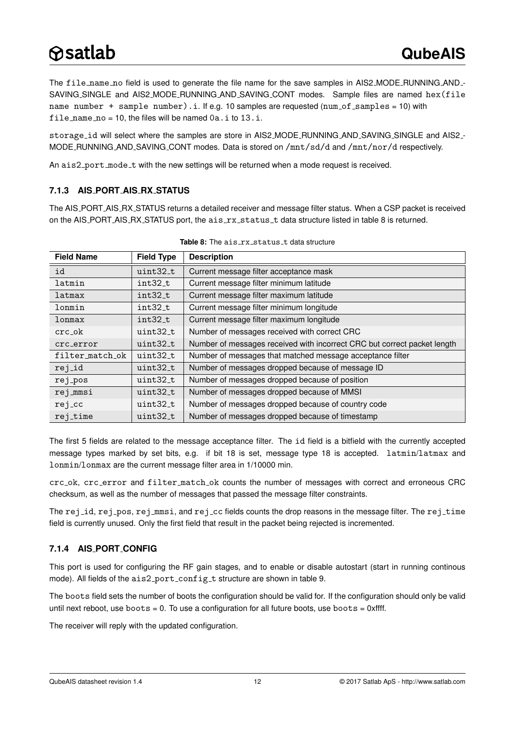The file name no field is used to generate the file name for the save samples in AIS2 MODE RUNNING AND -SAVING SINGLE and AIS2 MODE RUNNING AND SAVING CONT modes. Sample files are named hex(file name number + sample number).i. If e.g. 10 samples are requested (num of samples = 10) with file\_name\_no = 10, the files will be named  $0a.i$  to  $13.i$ .

storage id will select where the samples are store in AIS2 MODE RUNNING AND SAVING SINGLE and AIS2 - MODE RUNNING AND SAVING CONT modes. Data is stored on /mnt/sd/d and /mnt/nor/d respectively.

An ais2\_port\_mode\_t with the new settings will be returned when a mode request is received.

#### <span id="page-11-1"></span>**7.1.3 AIS PORT AIS RX STATUS**

The AIS PORT AIS RX STATUS returns a detailed receiver and message filter status. When a CSP packet is received on the AIS\_PORT\_AIS\_RX\_STATUS port, the ais\_rx\_status\_t data structure listed in table [8](#page-11-0) is returned.

<span id="page-11-0"></span>

| <b>Field Name</b>                 | <b>Field Type</b> | <b>Description</b>                                                       |  |
|-----------------------------------|-------------------|--------------------------------------------------------------------------|--|
| id                                | uint32_t          | Current message filter acceptance mask                                   |  |
| latmin                            | int32_t           | Current message filter minimum latitude                                  |  |
| latmax                            | int32_t           | Current message filter maximum latitude                                  |  |
| lonmin                            | int32_t           | Current message filter minimum longitude                                 |  |
| lonmax                            | int32_t           | Current message filter maximum longitude                                 |  |
| $crc$ <sub>-<math>ok</math></sub> | uint32_t          | Number of messages received with correct CRC                             |  |
| crc_error                         | $uint32_t$        | Number of messages received with incorrect CRC but correct packet length |  |
| filter_match_ok                   | uint32_t          | Number of messages that matched message acceptance filter                |  |
| rej_id                            | uint32_t          | Number of messages dropped because of message ID                         |  |
| $rej_pos$                         | uint32_t          | Number of messages dropped because of position                           |  |
| rej_mmsi                          | uint32_t          | Number of messages dropped because of MMSI                               |  |
| rej_cc                            | uint32_t          | Number of messages dropped because of country code                       |  |
| rej_time                          | uint32_t          | Number of messages dropped because of timestamp                          |  |

|  |  |  | <b>Table 8:</b> The ais_rx_status_t data structure |
|--|--|--|----------------------------------------------------|
|--|--|--|----------------------------------------------------|

The first 5 fields are related to the message acceptance filter. The id field is a bitfield with the currently accepted message types marked by set bits, e.g. if bit 18 is set, message type 18 is accepted. latmin/latmax and lonmin/lonmax are the current message filter area in 1/10000 min.

crc\_ok, crc\_error and filter\_match\_ok counts the number of messages with correct and erroneous CRC checksum, as well as the number of messages that passed the message filter constraints.

The rej id, rej pos, rej mmsi, and rej cc fields counts the drop reasons in the message filter. The rej time field is currently unused. Only the first field that result in the packet being rejected is incremented.

#### <span id="page-11-2"></span>**7.1.4 AIS PORT CONFIG**

This port is used for configuring the RF gain stages, and to enable or disable autostart (start in running continous mode). All fields of the ais2\_port\_config\_t structure are shown in table [9.](#page-12-0)

The boots field sets the number of boots the configuration should be valid for. If the configuration should only be valid until next reboot, use  $boots = 0$ . To use a configuration for all future boots, use  $boots = 0$ xffff.

The receiver will reply with the updated configuration.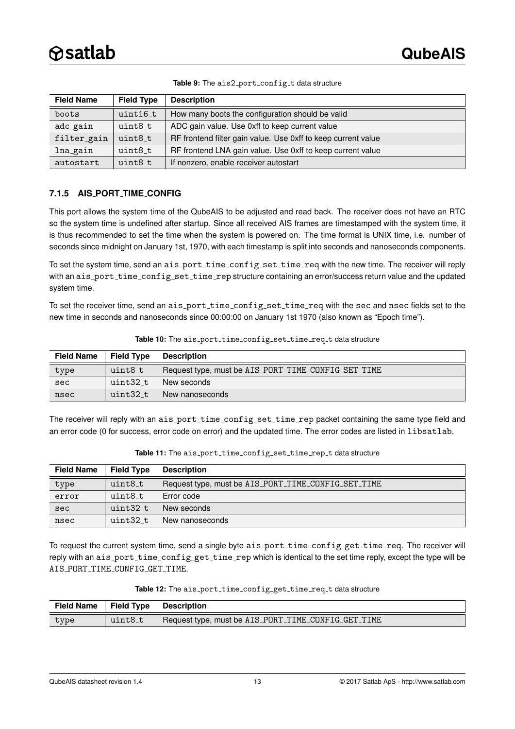<span id="page-12-0"></span>

| <b>Field Name</b> | <b>Field Type</b> | <b>Description</b>                                            |  |
|-------------------|-------------------|---------------------------------------------------------------|--|
| boots             | uint16 t          | How many boots the configuration should be valid              |  |
| adc_gain          | $uint8_t$         | ADC gain value. Use 0xff to keep current value                |  |
| filter_gain       | uint8_t           | RF frontend filter gain value. Use 0xff to keep current value |  |
| lna_gain          | uint8 t           | RF frontend LNA gain value. Use 0xff to keep current value    |  |
| autostart         | uint8 t           | If nonzero, enable receiver autostart                         |  |

Table 9: The ais2\_port\_config\_t data structure

#### <span id="page-12-1"></span>**7.1.5 AIS PORT TIME CONFIG**

This port allows the system time of the QubeAIS to be adjusted and read back. The receiver does not have an RTC so the system time is undefined after startup. Since all received AIS frames are timestamped with the system time, it is thus recommended to set the time when the system is powered on. The time format is UNIX time, i.e. number of seconds since midnight on January 1st, 1970, with each timestamp is split into seconds and nanoseconds components.

To set the system time, send an ais\_port\_time\_config\_set\_time\_req with the new time. The receiver will reply with an ais\_port\_time\_config\_set\_time\_rep structure containing an error/success return value and the updated system time.

To set the receiver time, send an ais\_port\_time\_config\_set\_time\_req with the sec and nsec fields set to the new time in seconds and nanoseconds since 00:00:00 on January 1st 1970 (also known as "Epoch time").

| <b>Field Name</b> | <b>Field Type</b> | <b>Description</b>                                  |  |
|-------------------|-------------------|-----------------------------------------------------|--|
| type              | uint8_t           | Request type, must be AIS_PORT_TIME_CONFIG_SET_TIME |  |
| sec               | uint32_t          | New seconds                                         |  |
| nsec              | uint32 t          | New nanoseconds                                     |  |

Table 10: The ais\_port\_time\_config\_set\_time\_req\_t data structure

The receiver will reply with an ais\_port\_time\_config\_set\_time\_rep packet containing the same type field and an error code (0 for success, error code on error) and the updated time. The error codes are listed in libsatlab.

| <b>Field Name</b> | <b>Field Type</b> | <b>Description</b>                                  |  |
|-------------------|-------------------|-----------------------------------------------------|--|
| type              | uint8_t           | Request type, must be AIS_PORT_TIME_CONFIG_SET_TIME |  |
| error             | uint8 t           | Error code                                          |  |
| sec               | uint32_t          | New seconds                                         |  |
| nsec              | uint32_t          | New nanoseconds                                     |  |

Table 11: The ais\_port\_time\_config\_set\_time\_rep\_t data structure

To request the current system time, send a single byte ais\_port\_time\_config\_get\_time\_req. The receiver will reply with an ais\_port\_time\_config\_get\_time\_rep which is identical to the set time reply, except the type will be AIS PORT TIME CONFIG GET TIME.

| <b>Field Name</b> | <b>Field Type</b> | <b>Description</b>                                  |  |
|-------------------|-------------------|-----------------------------------------------------|--|
| type              | uint8_t           | Request type, must be AIS_PORT_TIME_CONFIG_GET_TIME |  |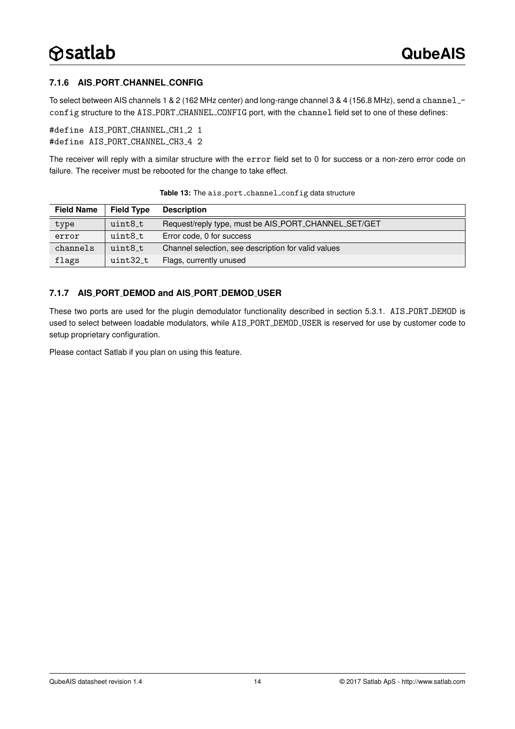#### <span id="page-13-0"></span>**7.1.6 AIS PORT CHANNEL CONFIG**

To select between AIS channels 1 & 2 (162 MHz center) and long-range channel 3 & 4 (156.8 MHz), send a channel config structure to the AIS PORT CHANNEL CONFIG port, with the channel field set to one of these defines:

```
#define AIS_PORT_CHANNEL_CH1_2 1
#define AIS_PORT_CHANNEL_CH3_4 2
```
The receiver will reply with a similar structure with the error field set to 0 for success or a non-zero error code on failure. The receiver must be rebooted for the change to take effect.

| <b>Field Name</b> | <b>Field Type</b> | <b>Description</b>                                   |  |
|-------------------|-------------------|------------------------------------------------------|--|
| type              | uint8_t           | Request/reply type, must be AIS_PORT_CHANNEL_SET/GET |  |
| error             | uint8 t           | Error code, 0 for success                            |  |
| channels          | uint8 t           | Channel selection, see description for valid values  |  |
| flags             | uint32_t          | Flags, currently unused                              |  |

Table 13: The ais\_port\_channel\_config data structure

#### <span id="page-13-1"></span>**7.1.7 AIS PORT DEMOD and AIS PORT DEMOD USER**

These two ports are used for the plugin demodulator functionality described in section [5.3.1.](#page-3-1) AIS PORT DEMOD is used to select between loadable modulators, while AIS PORT DEMOD USER is reserved for use by customer code to setup proprietary configuration.

Please contact Satlab if you plan on using this feature.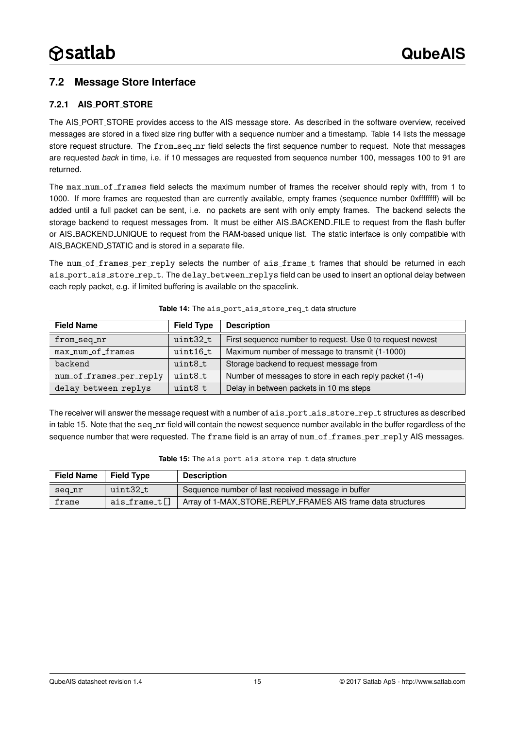### <span id="page-14-2"></span>**7.2 Message Store Interface**

#### <span id="page-14-3"></span>**7.2.1 AIS PORT STORE**

The AIS PORT STORE provides access to the AIS message store. As described in the software overview, received messages are stored in a fixed size ring buffer with a sequence number and a timestamp. Table [14](#page-14-0) lists the message store request structure. The from\_seq\_nr field selects the first sequence number to request. Note that messages are requested *back* in time, i.e. if 10 messages are requested from sequence number 100, messages 100 to 91 are returned.

The max num of frames field selects the maximum number of frames the receiver should reply with, from 1 to 1000. If more frames are requested than are currently available, empty frames (sequence number 0xffffffff) will be added until a full packet can be sent, i.e. no packets are sent with only empty frames. The backend selects the storage backend to request messages from. It must be either AIS\_BACKEND\_FILE to request from the flash buffer or AIS BACKEND UNIQUE to request from the RAM-based unique list. The static interface is only compatible with AIS BACKEND STATIC and is stored in a separate file.

The num of frames per reply selects the number of ais frame t frames that should be returned in each ais\_port\_ais\_store\_rep\_t. The delay\_between\_replys field can be used to insert an optional delay between each reply packet, e.g. if limited buffering is available on the spacelink.

<span id="page-14-0"></span>

| <b>Field Name</b>       | <b>Field Type</b> | <b>Description</b>                                        |
|-------------------------|-------------------|-----------------------------------------------------------|
| from_seq_nr             | uint32_t          | First sequence number to request. Use 0 to request newest |
| max_num_of_frames       | $uint16_t$        | Maximum number of message to transmit (1-1000)            |
| backend                 | uint8_t           | Storage backend to request message from                   |
| num_of_frames_per_reply | uint8 t           | Number of messages to store in each reply packet (1-4)    |
| delay_between_replys    | uint8 t           | Delay in between packets in 10 ms steps                   |

#### Table 14: The ais\_port\_ais\_store\_req\_t data structure

The receiver will answer the message request with a number of ais\_port\_ais\_store\_rep\_t structures as described in table [15.](#page-14-1) Note that the seq\_nr field will contain the newest sequence number available in the buffer regardless of the sequence number that were requested. The frame field is an array of num of frames per reply AIS messages.

<span id="page-14-1"></span>

| <b>Field Name</b> | <b>Field Type</b> | <b>Description</b>                                          |  |
|-------------------|-------------------|-------------------------------------------------------------|--|
| seq_nr            | uint32_t          | Sequence number of last received message in buffer          |  |
| frame             | ais_frame_t[]     | Array of 1-MAX_STORE_REPLY_FRAMES AIS frame data structures |  |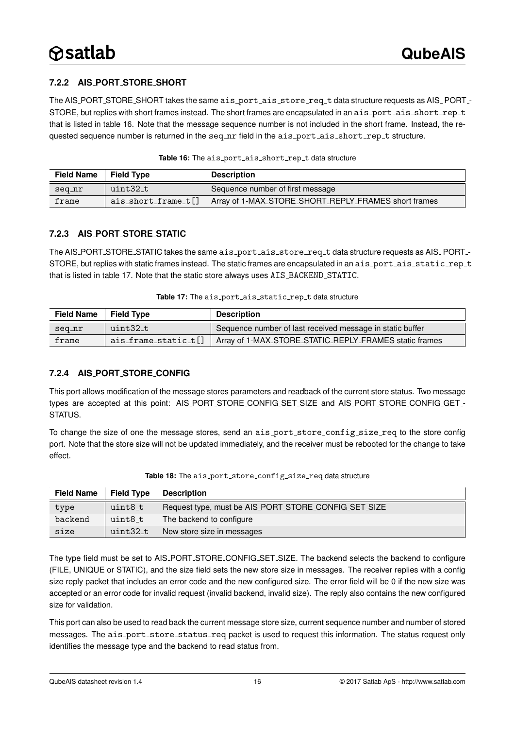#### <span id="page-15-2"></span>**7.2.2 AIS PORT STORE SHORT**

The AIS\_PORT\_STORE\_SHORT takes the same ais\_port\_ais\_store\_req\_t data structure requests as AIS\_PORT\_-STORE, but replies with short frames instead. The short frames are encapsulated in an ais\_port\_ais\_short\_rep\_t that is listed in table [16.](#page-15-0) Note that the message sequence number is not included in the short frame. Instead, the requested sequence number is returned in the seq\_nr field in the ais\_port\_ais\_short\_rep\_t structure.

<span id="page-15-0"></span>

| <b>Field Name</b> | <b>Field Type</b>           | <b>Description</b>                                   |
|-------------------|-----------------------------|------------------------------------------------------|
| seq_nr            | uint32_t                    | Sequence number of first message                     |
| frame             | $ais\_short\_frame\_t$ $[]$ | Array of 1-MAX_STORE_SHORT_REPLY_FRAMES short frames |

Table 16: The ais\_port\_ais\_short\_rep\_t data structure

#### <span id="page-15-3"></span>**7.2.3 AIS PORT STORE STATIC**

The AIS\_PORT\_STORE\_STATIC takes the same ais\_port\_ais\_store\_req\_t data structure requests as AIS\_PORT\_-STORE, but replies with static frames instead. The static frames are encapsulated in an ais\_port\_ais\_static\_rep\_t that is listed in table [17.](#page-15-1) Note that the static store always uses AIS\_BACKEND\_STATIC.

| Table 17: The ais_port_ais_static_rep_t data structure |  |  |
|--------------------------------------------------------|--|--|
|--------------------------------------------------------|--|--|

<span id="page-15-1"></span>

| <b>Field Name</b> | <b>Field Type</b>          | <b>Description</b>                                        |
|-------------------|----------------------------|-----------------------------------------------------------|
| seq_nr            | uint32 t                   | Sequence number of last received message in static buffer |
| frame             | $ais_f$ rame_static_t $[]$ | Array of 1-MAX_STORE_STATIC_REPLY_FRAMES static frames    |

#### <span id="page-15-4"></span>**7.2.4 AIS PORT STORE CONFIG**

This port allows modification of the message stores parameters and readback of the current store status. Two message types are accepted at this point: AIS PORT STORE CONFIG SET SIZE and AIS PORT STORE CONFIG GET - STATUS.

To change the size of one the message stores, send an ais\_port\_store\_config\_size\_req to the store config port. Note that the store size will not be updated immediately, and the receiver must be rebooted for the change to take effect.

| <b>Field Name</b> | <b>Field Type</b> | <b>Description</b>                                   |
|-------------------|-------------------|------------------------------------------------------|
| type              | uint8_t           | Request type, must be AIS_PORT_STORE_CONFIG_SET_SIZE |
| backend           | uint8_t           | The backend to configure                             |
| size              | uint32_t          | New store size in messages                           |

Table 18: The ais\_port\_store\_config\_size\_req data structure

The type field must be set to AIS\_PORT\_STORE\_CONFIG\_SET\_SIZE. The backend selects the backend to configure (FILE, UNIQUE or STATIC), and the size field sets the new store size in messages. The receiver replies with a config size reply packet that includes an error code and the new configured size. The error field will be 0 if the new size was accepted or an error code for invalid request (invalid backend, invalid size). The reply also contains the new configured size for validation.

This port can also be used to read back the current message store size, current sequence number and number of stored messages. The ais\_port\_store\_status\_req packet is used to request this information. The status request only identifies the message type and the backend to read status from.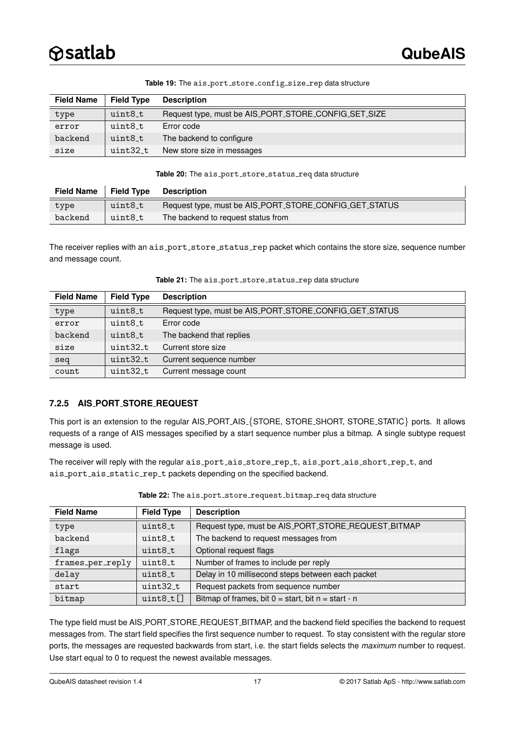| <b>Field Name</b> | <b>Field Type</b> | <b>Description</b>                                   |
|-------------------|-------------------|------------------------------------------------------|
| type              | uint8_t           | Request type, must be AIS_PORT_STORE_CONFIG_SET_SIZE |
| error             | uint8_t           | Error code                                           |
| backend           | uint8_t           | The backend to configure                             |
| size              | uint32 t          | New store size in messages                           |

#### Table 19: The ais\_port\_store\_config\_size\_rep data structure

#### Table 20: The ais\_port\_store\_status\_req data structure

| <b>Field Name</b> | <b>Field Type</b>   | <b>Description</b>                                     |
|-------------------|---------------------|--------------------------------------------------------|
| type              | uint8 <sub>-t</sub> | Request type, must be AIS_PORT_STORE_CONFIG_GET_STATUS |
| backend           | uint8_t             | The backend to request status from                     |

The receiver replies with an ais\_port\_store\_status\_rep packet which contains the store size, sequence number and message count.

| <b>Field Name</b> | <b>Field Type</b>   | <b>Description</b>                                     |
|-------------------|---------------------|--------------------------------------------------------|
| type              | uint8 <sub>-t</sub> | Request type, must be AIS_PORT_STORE_CONFIG_GET_STATUS |
| error             | uint8 t             | Error code                                             |
| backend           | uint8 t             | The backend that replies                               |
| size              | uint32 t            | Current store size                                     |
| seq               | uint32_t            | Current sequence number                                |
| count             | $uint32_t$          | Current message count                                  |

#### Table 21: The ais\_port\_store\_status\_rep data structure

#### <span id="page-16-0"></span>**7.2.5 AIS PORT STORE REQUEST**

This port is an extension to the regular AIS\_PORT\_AIS\_{STORE, STORE\_SHORT, STORE\_STATIC} ports. It allows requests of a range of AIS messages specified by a start sequence number plus a bitmap. A single subtype request message is used.

The receiver will reply with the regular ais\_port\_ais\_store\_rep\_t, ais\_port\_ais\_short\_rep\_t, and ais\_port\_ais\_static\_rep\_t packets depending on the specified backend.

| <b>Field Name</b> | <b>Field Type</b> | <b>Description</b>                                      |
|-------------------|-------------------|---------------------------------------------------------|
| type              | uint8_t           | Request type, must be AIS_PORT_STORE_REQUEST_BITMAP     |
| backend           | uint8_t           | The backend to request messages from                    |
| flags             | uint8 t           | Optional request flags                                  |
| frames_per_reply  | uint8_t           | Number of frames to include per reply                   |
| delay             | uint8_t           | Delay in 10 millisecond steps between each packet       |
| start             | uint32 t          | Request packets from sequence number                    |
| bitmap            | $uint8_t[]$       | Bitmap of frames, bit $0 = start$ , bit $n = start - n$ |

#### Table 22: The ais\_port\_store\_request\_bitmap\_req data structure

The type field must be AIS\_PORT\_STORE\_REQUEST\_BITMAP, and the backend field specifies the backend to request messages from. The start field specifies the first sequence number to request. To stay consistent with the regular store ports, the messages are requested backwards from start, i.e. the start fields selects the *maximum* number to request. Use start equal to 0 to request the newest available messages.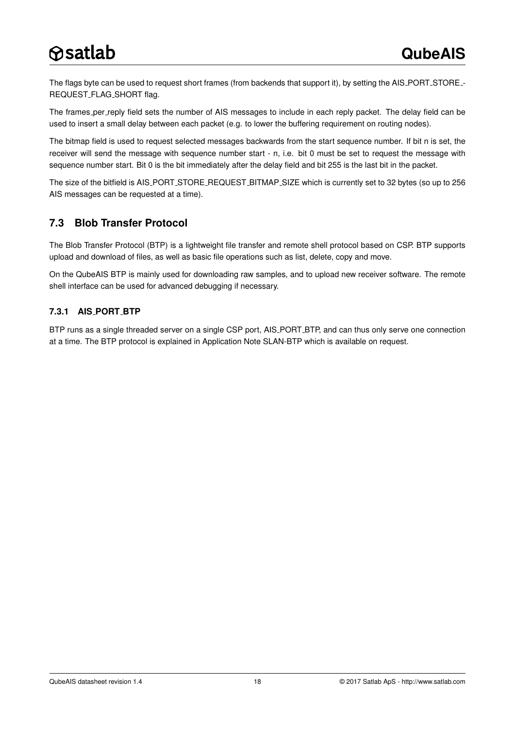The flags byte can be used to request short frames (from backends that support it), by setting the AIS PORT STORE -REQUEST\_FLAG\_SHORT flag.

The frames per reply field sets the number of AIS messages to include in each reply packet. The delay field can be used to insert a small delay between each packet (e.g. to lower the buffering requirement on routing nodes).

The bitmap field is used to request selected messages backwards from the start sequence number. If bit n is set, the receiver will send the message with sequence number start - n, i.e. bit 0 must be set to request the message with sequence number start. Bit 0 is the bit immediately after the delay field and bit 255 is the last bit in the packet.

The size of the bitfield is AIS PORT STORE REQUEST BITMAP SIZE which is currently set to 32 bytes (so up to 256 AIS messages can be requested at a time).

### <span id="page-17-0"></span>**7.3 Blob Transfer Protocol**

The Blob Transfer Protocol (BTP) is a lightweight file transfer and remote shell protocol based on CSP. BTP supports upload and download of files, as well as basic file operations such as list, delete, copy and move.

On the QubeAIS BTP is mainly used for downloading raw samples, and to upload new receiver software. The remote shell interface can be used for advanced debugging if necessary.

#### <span id="page-17-1"></span>**7.3.1 AIS PORT BTP**

BTP runs as a single threaded server on a single CSP port, AIS PORT BTP, and can thus only serve one connection at a time. The BTP protocol is explained in Application Note SLAN-BTP which is available on request.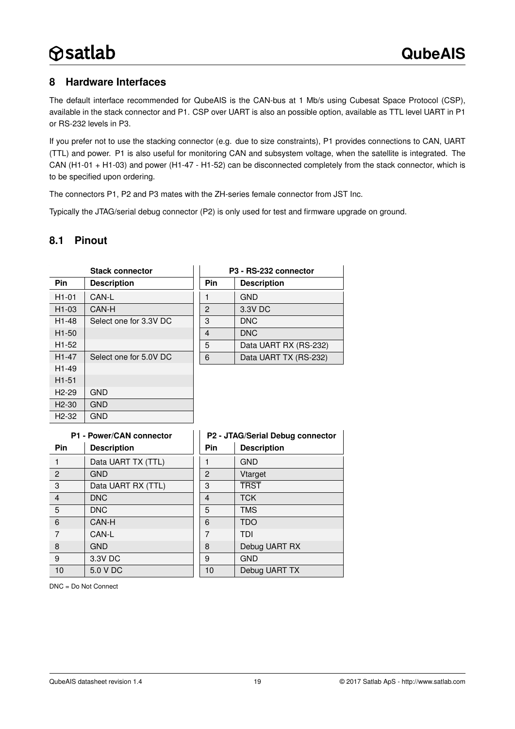### <span id="page-18-0"></span>**8 Hardware Interfaces**

The default interface recommended for QubeAIS is the CAN-bus at 1 Mb/s using Cubesat Space Protocol (CSP), available in the stack connector and P1. CSP over UART is also an possible option, available as TTL level UART in P1 or RS-232 levels in P3.

If you prefer not to use the stacking connector (e.g. due to size constraints), P1 provides connections to CAN, UART (TTL) and power. P1 is also useful for monitoring CAN and subsystem voltage, when the satellite is integrated. The CAN (H1-01 + H1-03) and power (H1-47 - H1-52) can be disconnected completely from the stack connector, which is to be specified upon ordering.

The connectors P1, P2 and P3 mates with the ZH-series female connector from JST Inc.

Typically the JTAG/serial debug connector (P2) is only used for test and firmware upgrade on ground.

### <span id="page-18-1"></span>**8.1 Pinout**

| <b>Stack connector</b> |                        |              | P3 - RS-232 connector |
|------------------------|------------------------|--------------|-----------------------|
| <b>Pin</b>             | <b>Description</b>     | <b>Pin</b>   | <b>Description</b>    |
| $H1-01$                | CAN-L                  | 1            | <b>GND</b>            |
| H <sub>1</sub> -03     | CAN-H                  | $\mathbf{P}$ | 3.3V DC               |
| H <sub>1</sub> -48     | Select one for 3.3V DC | 3            | <b>DNC</b>            |
| H <sub>1</sub> -50     |                        | 4            | <b>DNC</b>            |
| H <sub>1</sub> -52     |                        | 5            | Data UART RX (RS-232) |
| H <sub>1</sub> -47     | Select one for 5.0V DC | 6            | Data UART TX (RS-232) |
| H <sub>1</sub> -49     |                        |              |                       |
| $H1-51$                |                        |              |                       |
| $H2-29$                | <b>GND</b>             |              |                       |
| $H2-30$                | <b>GND</b>             |              |                       |
| $H2-32$                | <b>GND</b>             |              |                       |

| P1 - Power/CAN connector |                    |            | P2 - JTAG/Serial Debug connector |
|--------------------------|--------------------|------------|----------------------------------|
| <b>Pin</b>               | <b>Description</b> | <b>Pin</b> | <b>Description</b>               |
|                          | Data UART TX (TTL) |            | <b>GND</b>                       |
| 2                        | <b>GND</b>         | 2          | Vtarget                          |
| 3                        | Data UART RX (TTL) | 3          | <b>TRST</b>                      |
| $\overline{4}$           | <b>DNC</b>         | 4          | <b>TCK</b>                       |
| 5                        | <b>DNC</b>         | 5          | <b>TMS</b>                       |
| 6                        | CAN-H              | 6          | <b>TDO</b>                       |
| $\overline{7}$           | CAN-L              | 7          | TDI                              |
| 8                        | <b>GND</b>         | 8          | Debug UART RX                    |
| 9                        | 3.3V DC            | 9          | <b>GND</b>                       |
| 10                       | 5.0 V DC           | 10         | Debug UART TX                    |

DNC = Do Not Connect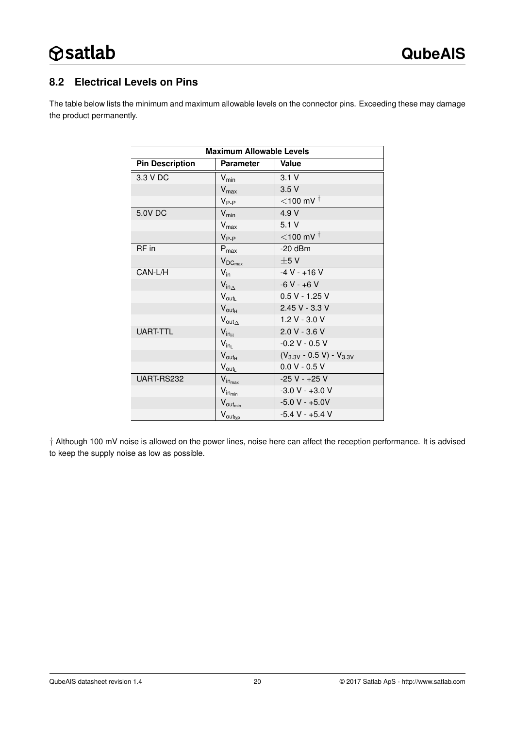### <span id="page-19-0"></span>**8.2 Electrical Levels on Pins**

The table below lists the minimum and maximum allowable levels on the connector pins. Exceeding these may damage the product permanently.

| <b>Maximum Allowable Levels</b> |                               |                                 |  |
|---------------------------------|-------------------------------|---------------------------------|--|
| <b>Pin Description</b>          | <b>Parameter</b>              | Value                           |  |
| 3.3 V DC                        | $V_{min}$                     | 3.1V                            |  |
|                                 | $V_{\text{max}}$              | 3.5V                            |  |
|                                 | $V_{P-P}$                     | $<$ 100 mV $†$                  |  |
| 5.0V DC                         | $V_{\text{min}}$              | 4.9 V                           |  |
|                                 | $V_{\text{max}}$              | 5.1V                            |  |
|                                 | $V_{P-P}$                     | $<$ 100 mV $†$                  |  |
| RF in                           | $P_{max}$                     | $-20$ dBm                       |  |
|                                 | $V_{DC_{max}}$                | ±5V                             |  |
| CAN-L/H                         | $V_{\text{in}}$               | $-4V - +16V$                    |  |
|                                 | $V_{in_\Delta}$               | $-6V - +6V$                     |  |
|                                 | $V_{\text{out}_L}$            | $0.5 V - 1.25 V$                |  |
|                                 | $V_{\text{outH}}$             | 2.45 V - 3.3 V                  |  |
|                                 | $V_{\text{out}_{\Delta}}$     | 1.2 V - 3.0 V                   |  |
| <b>UART-TTL</b>                 | $V_{in_{H}}$                  | $2.0 V - 3.6 V$                 |  |
|                                 | $V_{in_L}$                    | $-0.2 V - 0.5 V$                |  |
|                                 | $V_{\text{out}_{H}}$          | $(V_{3.3V} - 0.5 V) - V_{3.3V}$ |  |
|                                 | $V_{\text{out}_L}$            | $0.0 V - 0.5 V$                 |  |
| UART-RS232                      | $V_{in_{max}}$                | $-25 V - +25 V$                 |  |
|                                 | $V_{in_{min}}$                | $-3.0 V - +3.0 V$               |  |
|                                 | $V_{\text{out}_{\text{min}}}$ | $-5.0 V - +5.0 V$               |  |
|                                 | $V_{\text{out}_{typ}}$        | $-5.4 V - +5.4 V$               |  |

† Although 100 mV noise is allowed on the power lines, noise here can affect the reception performance. It is advised to keep the supply noise as low as possible.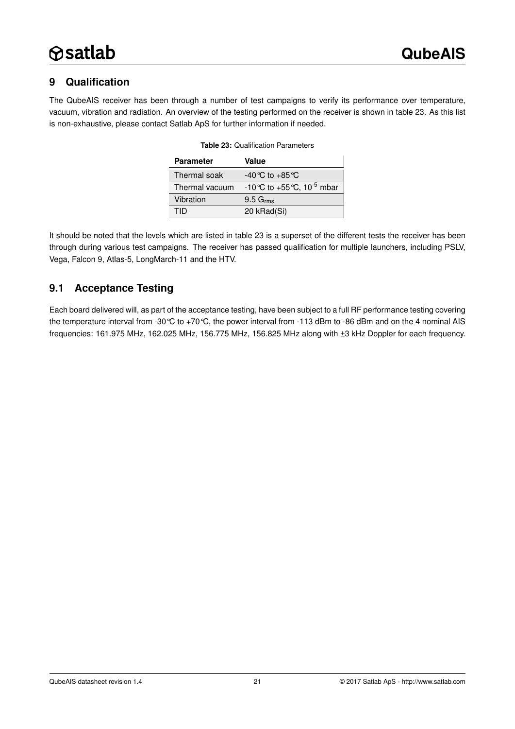# <span id="page-20-1"></span>**9 Qualification**

<span id="page-20-0"></span>The QubeAIS receiver has been through a number of test campaigns to verify its performance over temperature, vacuum, vibration and radiation. An overview of the testing performed on the receiver is shown in table [23.](#page-20-0) As this list is non-exhaustive, please contact Satlab ApS for further information if needed.

| <b>Parameter</b> | Value                                   |
|------------------|-----------------------------------------|
| Thermal soak     | $-40^{\circ}$ C to $+85^{\circ}$ C      |
| Thermal vacuum   | -10 °C to +55 °C, 10 <sup>-5</sup> mbar |
| Vibration        | $9.5\ G_{rms}$                          |
| TID              | 20 kRad(Si)                             |

| <b>Table 23: Qualification Parameters</b> |  |
|-------------------------------------------|--|
|                                           |  |

It should be noted that the levels which are listed in table [23](#page-20-0) is a superset of the different tests the receiver has been through during various test campaigns. The receiver has passed qualification for multiple launchers, including PSLV, Vega, Falcon 9, Atlas-5, LongMarch-11 and the HTV.

### <span id="page-20-2"></span>**9.1 Acceptance Testing**

Each board delivered will, as part of the acceptance testing, have been subject to a full RF performance testing covering the temperature interval from -30°C to +70°C, the power interval from -113 dBm to -86 dBm and on the 4 nominal AIS frequencies: 161.975 MHz, 162.025 MHz, 156.775 MHz, 156.825 MHz along with ±3 kHz Doppler for each frequency.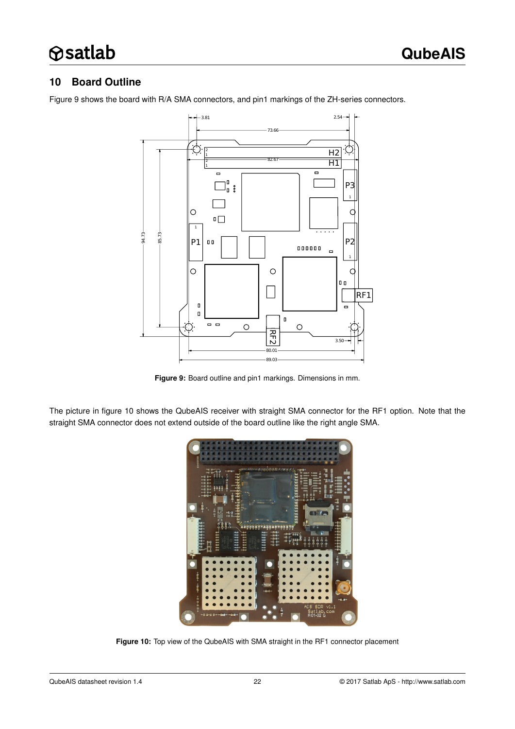### <span id="page-21-2"></span>**10 Board Outline**

Figure [9](#page-21-0) shows the board with R/A SMA connectors, and pin1 markings of the ZH-series connectors.



<span id="page-21-0"></span>**Figure 9:** Board outline and pin1 markings. Dimensions in mm.

The picture in figure [10](#page-21-1) shows the QubeAIS receiver with straight SMA connector for the RF1 option. Note that the straight SMA connector does not extend outside of the board outline like the right angle SMA.

<span id="page-21-1"></span>

**Figure 10:** Top view of the QubeAIS with SMA straight in the RF1 connector placement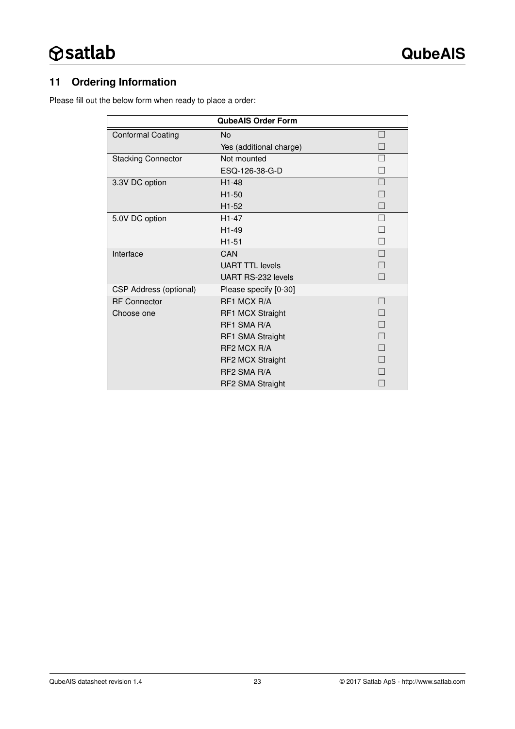# <span id="page-22-0"></span>**11 Ordering Information**

Please fill out the below form when ready to place a order:

|                               | <b>QubeAIS Order Form</b> |                          |
|-------------------------------|---------------------------|--------------------------|
| <b>Conformal Coating</b>      | <b>No</b>                 | $\overline{\phantom{a}}$ |
|                               | Yes (additional charge)   |                          |
| <b>Stacking Connector</b>     | Not mounted               |                          |
|                               | ESQ-126-38-G-D            |                          |
| 3.3V DC option                | $H1-48$                   | a s                      |
|                               | H1-50                     |                          |
|                               | H <sub>1-52</sub>         |                          |
| 5.0V DC option                | $H1-47$                   |                          |
|                               | H1-49                     |                          |
|                               | $H1-51$                   | П                        |
| Interface                     | CAN                       |                          |
|                               | <b>UART TTL levels</b>    |                          |
|                               | UART RS-232 levels        |                          |
| <b>CSP Address (optional)</b> | Please specify [0-30]     |                          |
| <b>RF</b> Connector           | RF1 MCX R/A               | <b>COL</b>               |
| Choose one                    | <b>RF1 MCX Straight</b>   |                          |
|                               | RF1 SMA R/A               |                          |
|                               | RF1 SMA Straight          |                          |
|                               | RF2 MCX R/A               | $\Box$                   |
|                               | <b>RF2 MCX Straight</b>   |                          |
|                               | RF2 SMA R/A               |                          |
|                               | RF2 SMA Straight          |                          |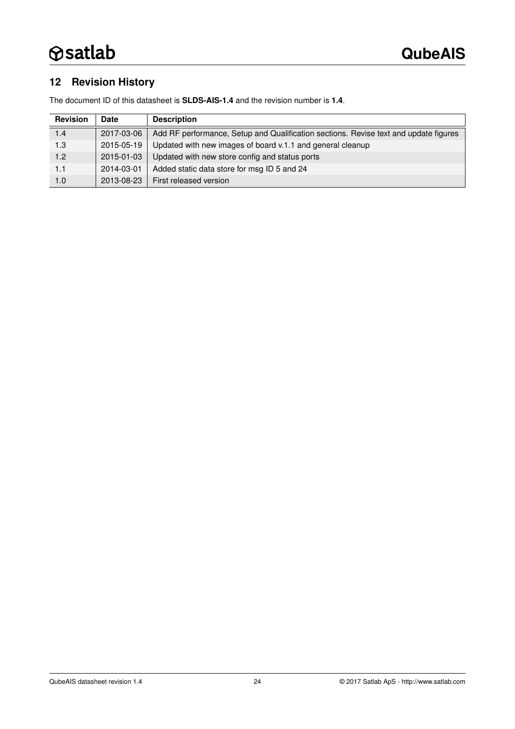# <span id="page-23-0"></span>**12 Revision History**

The document ID of this datasheet is **SLDS-AIS-1.4** and the revision number is **1.4**.

| <b>Revision</b> | Date       | <b>Description</b>                                                                   |
|-----------------|------------|--------------------------------------------------------------------------------------|
| 1.4             | 2017-03-06 | Add RF performance, Setup and Qualification sections. Revise text and update figures |
| 1.3             | 2015-05-19 | Updated with new images of board v.1.1 and general cleanup                           |
| 1.2             | 2015-01-03 | Updated with new store config and status ports                                       |
| 1.1             | 2014-03-01 | Added static data store for msg ID 5 and 24                                          |
| 1.0             | 2013-08-23 | First released version                                                               |